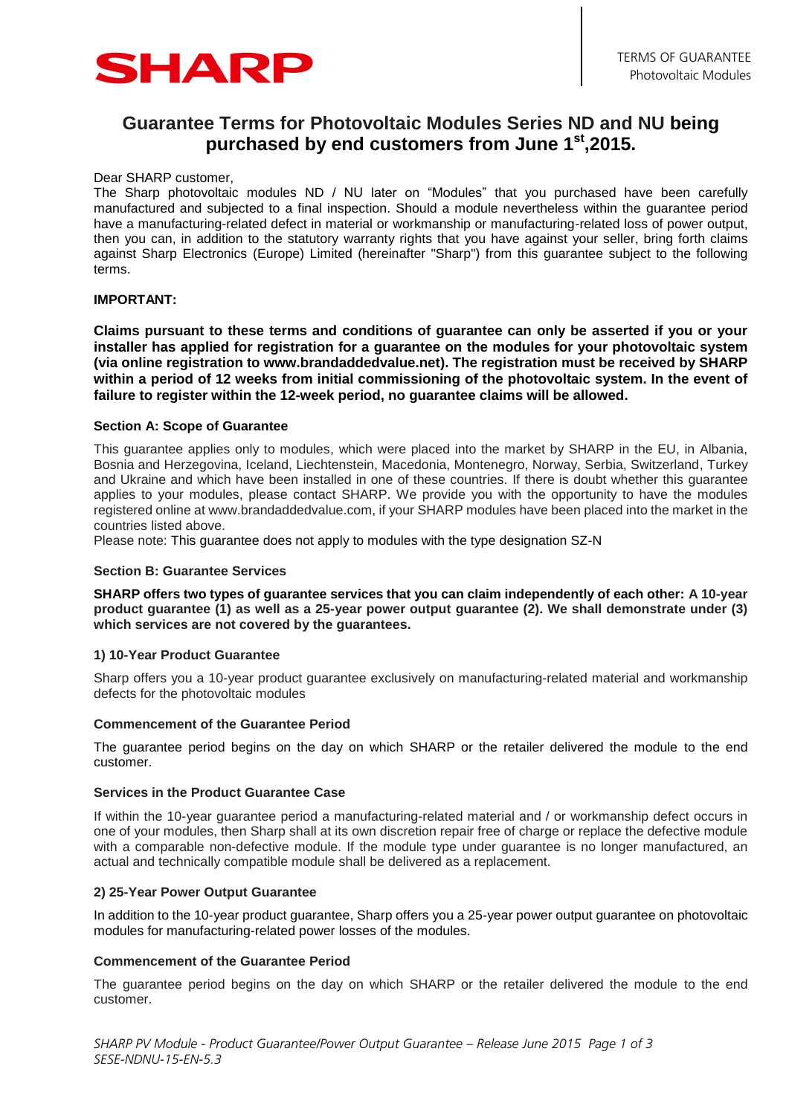

# **Guarantee Terms for Photovoltaic Modules Series ND and NU being purchased by end customers from June 1 st,2015.**

Dear SHARP customer,

The Sharp photovoltaic modules ND / NU later on "Modules" that you purchased have been carefully manufactured and subjected to a final inspection. Should a module nevertheless within the guarantee period have a manufacturing-related defect in material or workmanship or manufacturing-related loss of power output, then you can, in addition to the statutory warranty rights that you have against your seller, bring forth claims against Sharp Electronics (Europe) Limited (hereinafter "Sharp") from this guarantee subject to the following terms.

## **IMPORTANT:**

**Claims pursuant to these terms and conditions of guarantee can only be asserted if you or your installer has applied for registration for a guarantee on the modules for your photovoltaic system (via online registration to www.brandaddedvalue.net). The registration must be received by SHARP within a period of 12 weeks from initial commissioning of the photovoltaic system. In the event of failure to register within the 12-week period, no guarantee claims will be allowed.**

#### **Section A: Scope of Guarantee**

This guarantee applies only to modules, which were placed into the market by SHARP in the EU, in Albania, Bosnia and Herzegovina, Iceland, Liechtenstein, Macedonia, Montenegro, Norway, Serbia, Switzerland, Turkey and Ukraine and which have been installed in one of these countries. If there is doubt whether this guarantee applies to your modules, please contact SHARP. We provide you with the opportunity to have the modules registered online at www.brandaddedvalue.com, if your SHARP modules have been placed into the market in the countries listed above.

Please note: This guarantee does not apply to modules with the type designation SZ-N

#### **Section B: Guarantee Services**

**SHARP offers two types of guarantee services that you can claim independently of each other: A 10-year product guarantee (1) as well as a 25-year power output guarantee (2). We shall demonstrate under (3) which services are not covered by the guarantees.**

#### **1) 10-Year Product Guarantee**

Sharp offers you a 10-year product guarantee exclusively on manufacturing-related material and workmanship defects for the photovoltaic modules

#### **Commencement of the Guarantee Period**

The guarantee period begins on the day on which SHARP or the retailer delivered the module to the end customer.

#### **Services in the Product Guarantee Case**

If within the 10-year guarantee period a manufacturing-related material and / or workmanship defect occurs in one of your modules, then Sharp shall at its own discretion repair free of charge or replace the defective module with a comparable non-defective module. If the module type under guarantee is no longer manufactured, an actual and technically compatible module shall be delivered as a replacement.

#### **2) 25-Year Power Output Guarantee**

In addition to the 10-year product guarantee, Sharp offers you a 25-year power output guarantee on photovoltaic modules for manufacturing-related power losses of the modules.

## **Commencement of the Guarantee Period**

The guarantee period begins on the day on which SHARP or the retailer delivered the module to the end customer.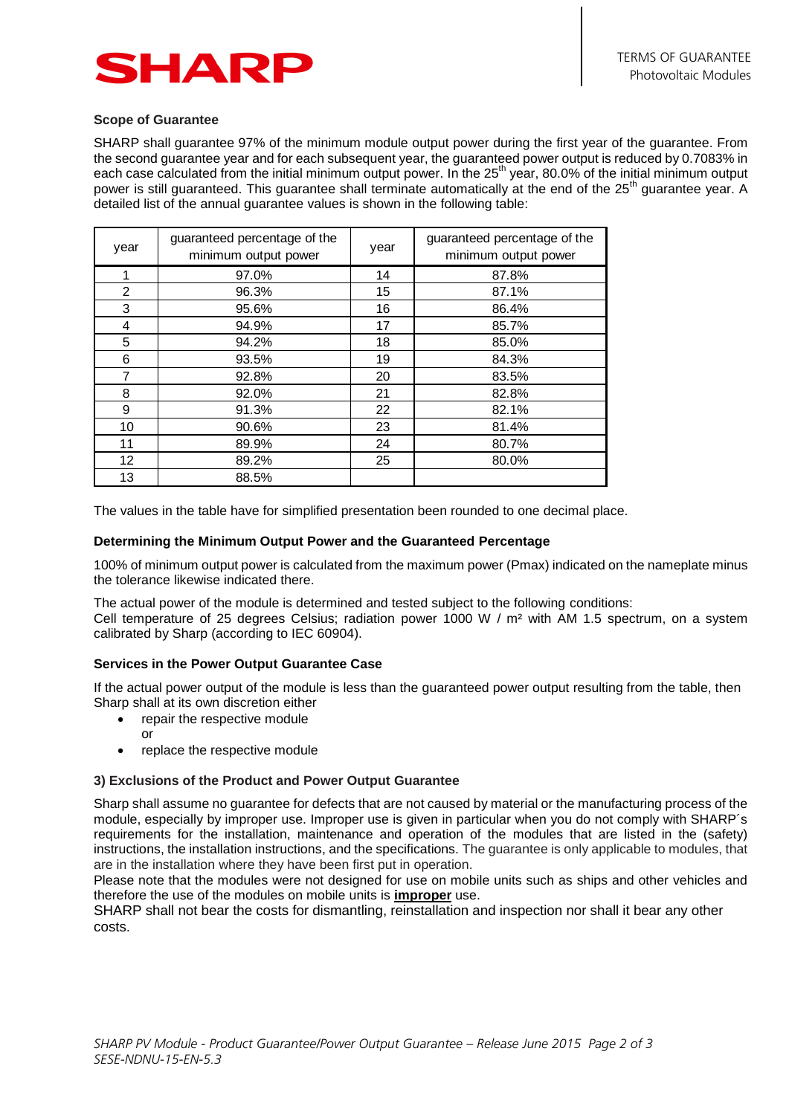

## **Scope of Guarantee**

SHARP shall guarantee 97% of the minimum module output power during the first year of the guarantee. From the second guarantee year and for each subsequent year, the guaranteed power output is reduced by 0.7083% in each case calculated from the initial minimum output power. In the 25<sup>th</sup> year, 80.0% of the initial minimum output power is still guaranteed. This guarantee shall terminate automatically at the end of the 25<sup>th</sup> guarantee year. A detailed list of the annual guarantee values is shown in the following table:

| year           | guaranteed percentage of the<br>minimum output power | year | guaranteed percentage of the<br>minimum output power |
|----------------|------------------------------------------------------|------|------------------------------------------------------|
| 1              | 97.0%                                                | 14   | 87.8%                                                |
| $\overline{2}$ | 96.3%                                                | 15   | 87.1%                                                |
| 3              | 95.6%                                                | 16   | 86.4%                                                |
| 4              | 94.9%                                                | 17   | 85.7%                                                |
| 5              | 94.2%                                                | 18   | 85.0%                                                |
| 6              | 93.5%                                                | 19   | 84.3%                                                |
| 7              | 92.8%                                                | 20   | 83.5%                                                |
| 8              | 92.0%                                                | 21   | 82.8%                                                |
| 9              | 91.3%                                                | 22   | 82.1%                                                |
| 10             | 90.6%                                                | 23   | 81.4%                                                |
| 11             | 89.9%                                                | 24   | 80.7%                                                |
| 12             | 89.2%                                                | 25   | 80.0%                                                |
| 13             | 88.5%                                                |      |                                                      |

The values in the table have for simplified presentation been rounded to one decimal place.

#### **Determining the Minimum Output Power and the Guaranteed Percentage**

100% of minimum output power is calculated from the maximum power (Pmax) indicated on the nameplate minus the tolerance likewise indicated there.

The actual power of the module is determined and tested subject to the following conditions: Cell temperature of 25 degrees Celsius; radiation power 1000 W / m² with AM 1.5 spectrum, on a system calibrated by Sharp (according to IEC 60904).

## **Services in the Power Output Guarantee Case**

If the actual power output of the module is less than the guaranteed power output resulting from the table, then Sharp shall at its own discretion either

- repair the respective module
- or
- replace the respective module

## **3) Exclusions of the Product and Power Output Guarantee**

Sharp shall assume no guarantee for defects that are not caused by material or the manufacturing process of the module, especially by improper use. Improper use is given in particular when you do not comply with SHARP´s requirements for the installation, maintenance and operation of the modules that are listed in the (safety) instructions, the installation instructions, and the specifications. The guarantee is only applicable to modules, that are in the installation where they have been first put in operation.

Please note that the modules were not designed for use on mobile units such as ships and other vehicles and therefore the use of the modules on mobile units is **improper** use.

SHARP shall not bear the costs for dismantling, reinstallation and inspection nor shall it bear any other costs.